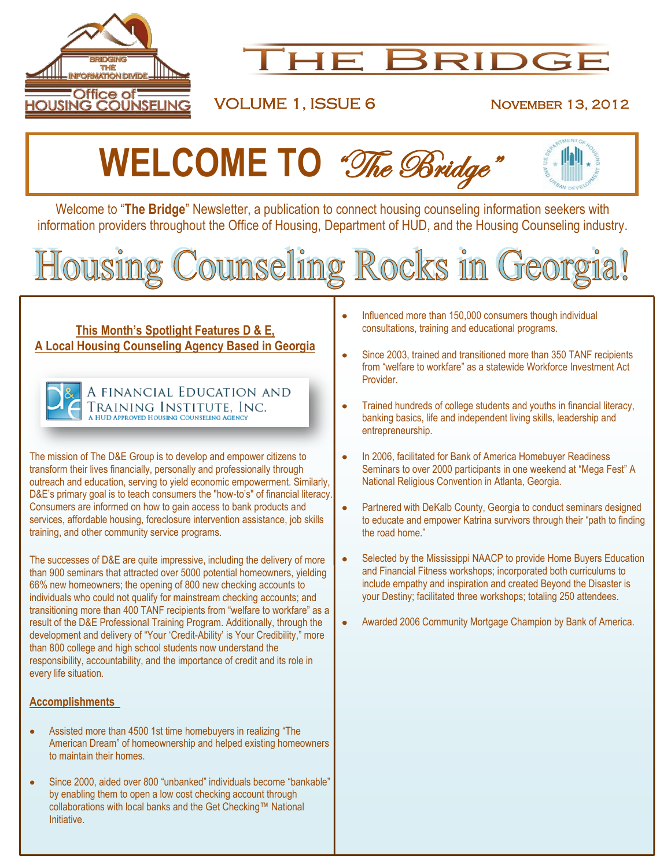

# **HE BRIDGI**

### VOLUME 1, ISSUE 6 NOVEMBER 13, 2012



Welcome to "**The Bridge**" Newsletter, a publication to connect housing counseling information seekers with information providers throughout the Office of Housing, Department of HUD, and the Housing Counseling industry.

# Counseling Rocks in Georg lousing

#### **This Month's Spotlight Features D & E, A Local Housing Counseling Agency Based in Georgia**



A FINANCIAL EDUCATION AND Training Institute, Inc. **HUD APPROVED HOUSING COUNSELING AGEN** 

The mission of The D&E Group is to develop and empower citizens to transform their lives financially, personally and professionally through outreach and education, serving to yield economic empowerment. Similarly, D&E's primary goal is to teach consumers the "how-to's" of financial literacy. Consumers are informed on how to gain access to bank products and services, affordable housing, foreclosure intervention assistance, job skills training, and other community service programs.

The successes of D&E are quite impressive, including the delivery of more than 900 seminars that attracted over 5000 potential homeowners, yielding 66% new homeowners; the opening of 800 new checking accounts to individuals who could not qualify for mainstream checking accounts; and transitioning more than 400 TANF recipients from "welfare to workfare" as a result of the D&E Professional Training Program. Additionally, through the development and delivery of "Your "Credit-Ability" is Your Credibility," more than 800 college and high school students now understand the responsibility, accountability, and the importance of credit and its role in every life situation.

#### **Accomplishments**

- Assisted more than 4500 1st time homebuyers in realizing "The American Dream" of homeownership and helped existing homeowners to maintain their homes.
- $\bullet$ Since 2000, aided over 800 "unbanked" individuals become "bankable" by enabling them to open a low cost checking account through collaborations with local banks and the Get Checking™ National Initiative.
- Influenced more than 150,000 consumers though individual  $\bullet$ consultations, training and educational programs.
- Since 2003, trained and transitioned more than 350 TANF recipients from "welfare to workfare" as a statewide Workforce Investment Act Provider.
- Trained hundreds of college students and youths in financial literacy, banking basics, life and independent living skills, leadership and entrepreneurship.
- $\bullet$ In 2006, facilitated for Bank of America Homebuyer Readiness Seminars to over 2000 participants in one weekend at "Mega Fest" A National Religious Convention in Atlanta, Georgia.
- $\bullet$ Partnered with DeKalb County, Georgia to conduct seminars designed to educate and empower Katrina survivors through their "path to finding the road home."
- Selected by the Mississippi NAACP to provide Home Buyers Education and Financial Fitness workshops; incorporated both curriculums to include empathy and inspiration and created Beyond the Disaster is your Destiny; facilitated three workshops; totaling 250 attendees.
- Awarded 2006 Community Mortgage Champion by Bank of America. $\bullet$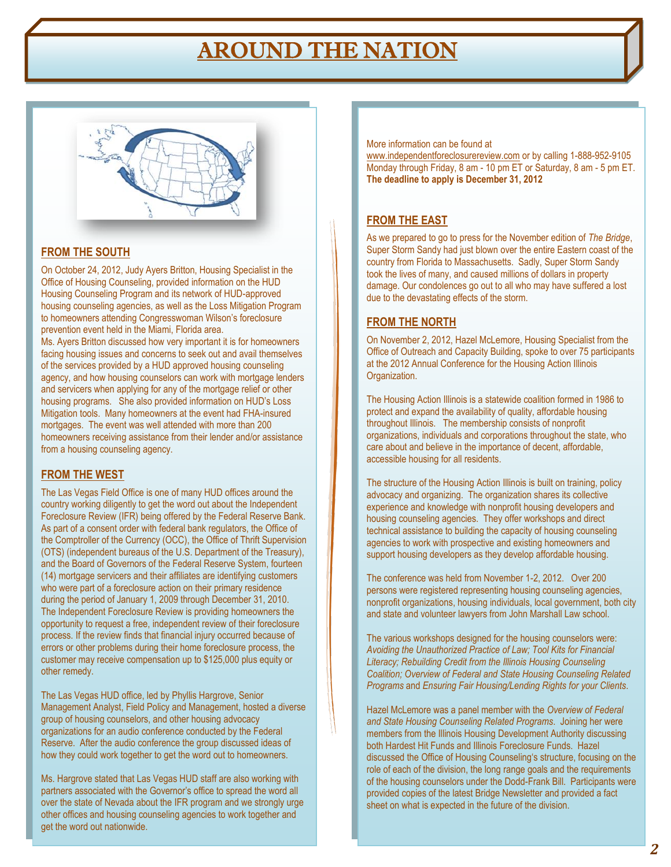# AROUND THE NATION



#### **FROM THE SOUTH**

On October 24, 2012, Judy Ayers Britton, Housing Specialist in the Office of Housing Counseling, provided information on the HUD Housing Counseling Program and its network of HUD-approved housing counseling agencies, as well as the Loss Mitigation Program to homeowners attending Congresswoman Wilson"s foreclosure prevention event held in the Miami, Florida area.

Ms. Ayers Britton discussed how very important it is for homeowners facing housing issues and concerns to seek out and avail themselves of the services provided by a HUD approved housing counseling agency, and how housing counselors can work with mortgage lenders and servicers when applying for any of the mortgage relief or other housing programs. She also provided information on HUD"s Loss Mitigation tools. Many homeowners at the event had FHA-insured mortgages. The event was well attended with more than 200 homeowners receiving assistance from their lender and/or assistance from a housing counseling agency.

#### **FROM THE WEST**

The Las Vegas Field Office is one of many HUD offices around the country working diligently to get the word out about the Independent Foreclosure Review (IFR) being offered by the Federal Reserve Bank. As part of a consent order with federal bank regulators, the Office of the Comptroller of the Currency (OCC), the Office of Thrift Supervision (OTS) (independent bureaus of the U.S. Department of the Treasury), and the Board of Governors of the Federal Reserve System, fourteen (14) mortgage servicers and their affiliates are identifying customers who were part of a foreclosure action on their primary residence during the period of January 1, 2009 through December 31, 2010. The Independent Foreclosure Review is providing homeowners the opportunity to request a free, independent review of their foreclosure process. If the review finds that financial injury occurred because of errors or other problems during their home foreclosure process, the customer may receive compensation up to \$125,000 plus equity or other remedy.

The Las Vegas HUD office, led by Phyllis Hargrove, Senior Management Analyst, Field Policy and Management, hosted a diverse group of housing counselors, and other housing advocacy organizations for an audio conference conducted by the Federal Reserve. After the audio conference the group discussed ideas of how they could work together to get the word out to homeowners.

Ms. Hargrove stated that Las Vegas HUD staff are also working with partners associated with the Governor's office to spread the word all over the state of Nevada about the IFR program and we strongly urge other offices and housing counseling agencies to work together and get the word out nationwide.

More information can be found at

[www.independentforeclosurereview.com](http://www.independentforeclosurereview.com/) or by calling 1-888-952-9105 Monday through Friday, 8 am - 10 pm ET or Saturday, 8 am - 5 pm ET. **The deadline to apply is December 31, 2012**

#### **FROM THE EAST**

As we prepared to go to press for the November edition of *The Bridge*, Super Storm Sandy had just blown over the entire Eastern coast of the country from Florida to Massachusetts. Sadly, Super Storm Sandy took the lives of many, and caused millions of dollars in property damage. Our condolences go out to all who may have suffered a lost due to the devastating effects of the storm.

#### **FROM THE NORTH**

On November 2, 2012, Hazel McLemore, Housing Specialist from the Office of Outreach and Capacity Building, spoke to over 75 participants at the 2012 Annual Conference for the Housing Action Illinois Organization.

The Housing Action Illinois is a statewide coalition formed in 1986 to protect and expand the availability of quality, affordable housing throughout Illinois. The membership consists of nonprofit organizations, individuals and corporations throughout the state, who care about and believe in the importance of decent, affordable, accessible housing for all residents.

The structure of the Housing Action Illinois is built on training, policy advocacy and organizing. The organization shares its collective experience and knowledge with nonprofit housing developers and housing counseling agencies. They offer workshops and direct technical assistance to building the capacity of housing counseling agencies to work with prospective and existing homeowners and support housing developers as they develop affordable housing.

The conference was held from November 1-2, 2012. Over 200 persons were registered representing housing counseling agencies, nonprofit organizations, housing individuals, local government, both city and state and volunteer lawyers from John Marshall Law school.

The various workshops designed for the housing counselors were: *Avoiding the Unauthorized Practice of Law; Tool Kits for Financial Literacy; Rebuilding Credit from the Illinois Housing Counseling Coalition; Overview of Federal and State Housing Counseling Related Programs* and *Ensuring Fair Housing/Lending Rights for your Clients*.

Hazel McLemore was a panel member with the *Overview of Federal and State Housing Counseling Related Programs*. Joining her were members from the Illinois Housing Development Authority discussing both Hardest Hit Funds and Illinois Foreclosure Funds. Hazel discussed the Office of Housing Counseling's structure, focusing on the role of each of the division, the long range goals and the requirements of the housing counselors under the Dodd-Frank Bill. Participants were provided copies of the latest Bridge Newsletter and provided a fact sheet on what is expected in the future of the division.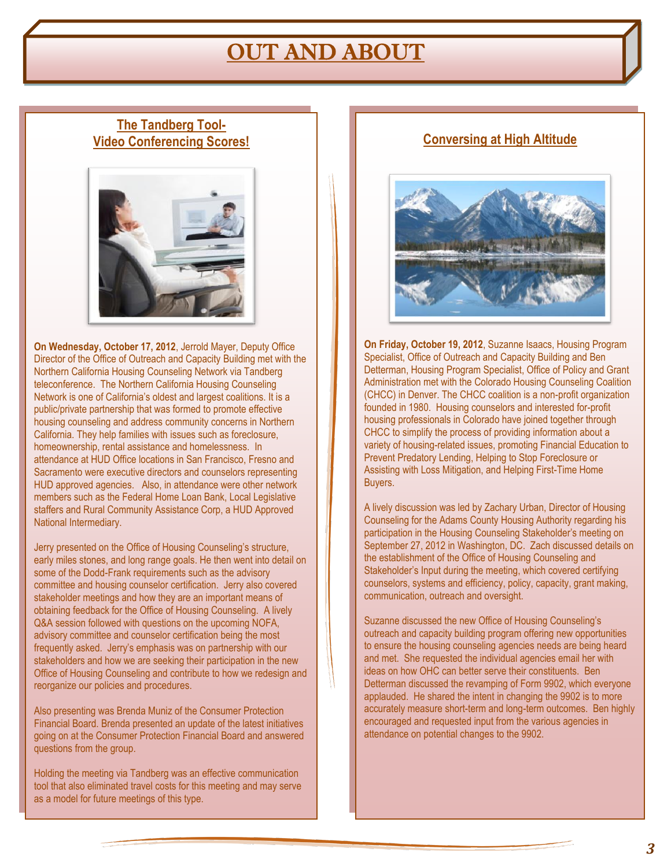### OUT AND ABOUT

### **The Tandberg Tool-Video Conferencing Scores!**



**On Wednesday, October 17, 2012**, Jerrold Mayer, Deputy Office Director of the Office of Outreach and Capacity Building met with the Northern California Housing Counseling Network via Tandberg teleconference. The Northern California Housing Counseling Network is one of California"s oldest and largest coalitions. It is a public/private partnership that was formed to promote effective housing counseling and address community concerns in Northern California. They help families with issues such as foreclosure, homeownership, rental assistance and homelessness. In attendance at HUD Office locations in San Francisco, Fresno and Sacramento were executive directors and counselors representing HUD approved agencies. Also, in attendance were other network members such as the Federal Home Loan Bank, Local Legislative staffers and Rural Community Assistance Corp, a HUD Approved National Intermediary.

Jerry presented on the Office of Housing Counseling's structure, early miles stones, and long range goals. He then went into detail on some of the Dodd-Frank requirements such as the advisory committee and housing counselor certification. Jerry also covered stakeholder meetings and how they are an important means of obtaining feedback for the Office of Housing Counseling. A lively Q&A session followed with questions on the upcoming NOFA, advisory committee and counselor certification being the most frequently asked. Jerry"s emphasis was on partnership with our stakeholders and how we are seeking their participation in the new Office of Housing Counseling and contribute to how we redesign and reorganize our policies and procedures.

Also presenting was Brenda Muniz of the Consumer Protection Financial Board. Brenda presented an update of the latest initiatives going on at the Consumer Protection Financial Board and answered questions from the group.

Holding the meeting via Tandberg was an effective communication tool that also eliminated travel costs for this meeting and may serve as a model for future meetings of this type.

### **Conversing at High Altitude**



**On Friday, October 19, 2012**, Suzanne Isaacs, Housing Program Specialist, Office of Outreach and Capacity Building and Ben Detterman, Housing Program Specialist, Office of Policy and Grant Administration met with the Colorado Housing Counseling Coalition (CHCC) in Denver. The CHCC coalition is a non-profit organization founded in 1980. Housing counselors and interested for-profit housing professionals in Colorado have joined together through CHCC to simplify the process of providing information about a variety of housing-related issues, promoting Financial Education to Prevent Predatory Lending, Helping to Stop Foreclosure or Assisting with Loss Mitigation, and Helping First-Time Home Buyers.

A lively discussion was led by Zachary Urban, Director of Housing Counseling for the Adams County Housing Authority regarding his participation in the Housing Counseling Stakeholder"s meeting on September 27, 2012 in Washington, DC. Zach discussed details on the establishment of the Office of Housing Counseling and Stakeholder"s Input during the meeting, which covered certifying counselors, systems and efficiency, policy, capacity, grant making, communication, outreach and oversight.

Suzanne discussed the new Office of Housing Counseling"s outreach and capacity building program offering new opportunities to ensure the housing counseling agencies needs are being heard and met. She requested the individual agencies email her with ideas on how OHC can better serve their constituents. Ben Detterman discussed the revamping of Form 9902, which everyone applauded. He shared the intent in changing the 9902 is to more accurately measure short-term and long-term outcomes. Ben highly encouraged and requested input from the various agencies in attendance on potential changes to the 9902.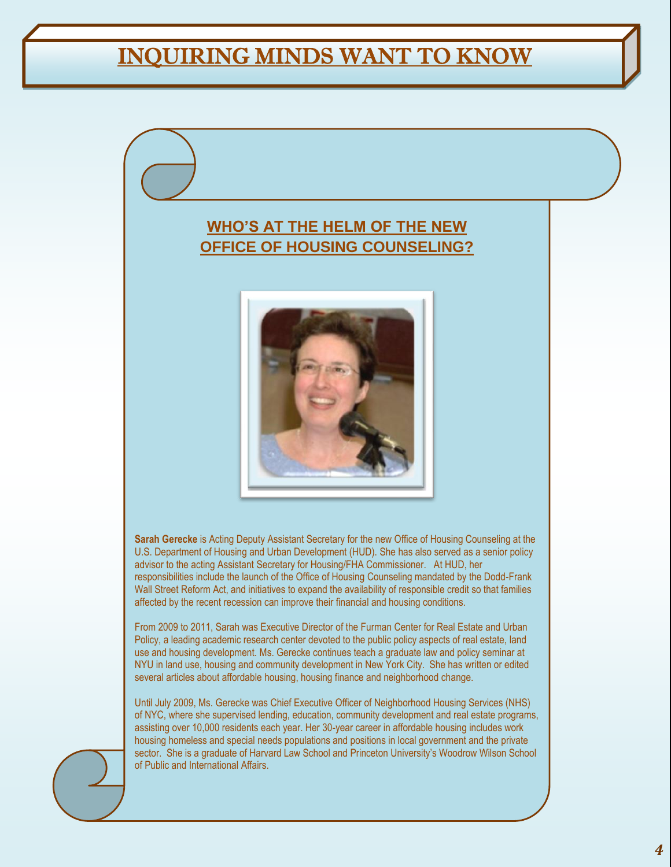# INQUIRING MINDS WANT TO KNOW

### **WHO'S AT THE HELM OF THE NEW OFFICE OF HOUSING COUNSELING?**



**Sarah Gerecke** is Acting Deputy Assistant Secretary for the new Office of Housing Counseling at the U.S. Department of Housing and Urban Development (HUD). She has also served as a senior policy advisor to the acting Assistant Secretary for Housing/FHA Commissioner. At HUD, her responsibilities include the launch of the Office of Housing Counseling mandated by the Dodd-Frank Wall Street Reform Act, and initiatives to expand the availability of responsible credit so that families affected by the recent recession can improve their financial and housing conditions.

From 2009 to 2011, Sarah was Executive Director of the Furman Center for Real Estate and Urban Policy, a leading academic research center devoted to the public policy aspects of real estate, land use and housing development. Ms. Gerecke continues teach a graduate law and policy seminar at NYU in land use, housing and community development in New York City. She has written or edited several articles about affordable housing, housing finance and neighborhood change.

Until July 2009, Ms. Gerecke was Chief Executive Officer of Neighborhood Housing Services (NHS) of NYC, where she supervised lending, education, community development and real estate programs, assisting over 10,000 residents each year. Her 30-year career in affordable housing includes work housing homeless and special needs populations and positions in local government and the private sector. She is a graduate of Harvard Law School and Princeton University's Woodrow Wilson School of Public and International Affairs.

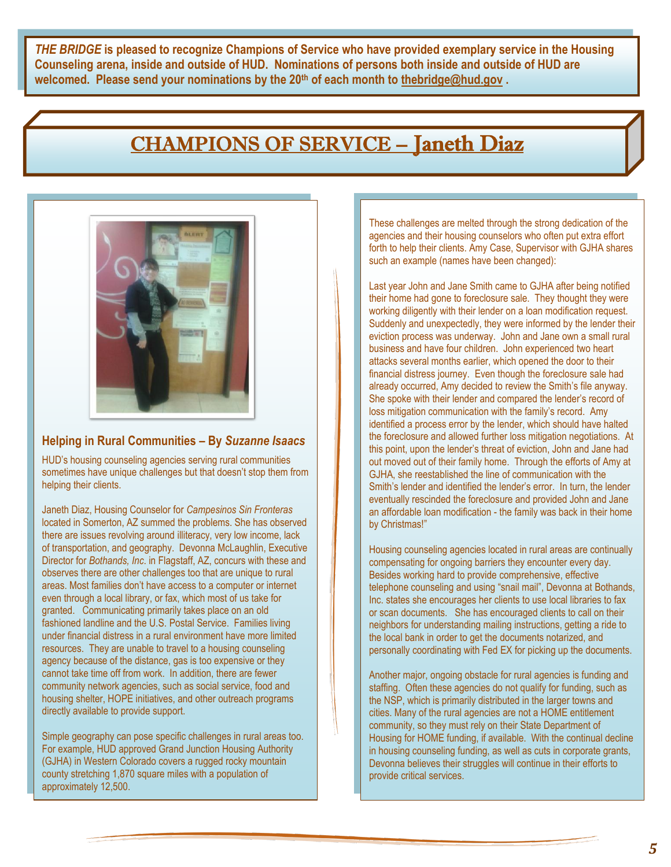*THE BRIDGE* **is pleased to recognize Champions of Service who have provided exemplary service in the Housing Counseling arena, inside and outside of HUD. Nominations of persons both inside and outside of HUD are welcomed. Please send your nominations by the 20th of each month to [thebridge@hud.gov](mailto:thebridge@hud.gov) .**

### CHAMPIONS OF SERVICE – Janeth Diaz



#### **Helping in Rural Communities – By** *Suzanne Isaacs*

HUD"s housing counseling agencies serving rural communities sometimes have unique challenges but that doesn"t stop them from helping their clients.

Janeth Diaz, Housing Counselor for *Campesinos Sin Fronteras* located in Somerton, AZ summed the problems. She has observed there are issues revolving around illiteracy, very low income, lack of transportation, and geography. Devonna McLaughlin, Executive Director for *Bothands, Inc*. in Flagstaff, AZ, concurs with these and observes there are other challenges too that are unique to rural areas. Most families don"t have access to a computer or internet even through a local library, or fax, which most of us take for granted. Communicating primarily takes place on an old fashioned landline and the U.S. Postal Service. Families living under financial distress in a rural environment have more limited resources. They are unable to travel to a housing counseling agency because of the distance, gas is too expensive or they cannot take time off from work. In addition, there are fewer community network agencies, such as social service, food and housing shelter, HOPE initiatives, and other outreach programs directly available to provide support.

Simple geography can pose specific challenges in rural areas too. For example, HUD approved Grand Junction Housing Authority (GJHA) in Western Colorado covers a rugged rocky mountain county stretching 1,870 square miles with a population of approximately 12,500.

These challenges are melted through the strong dedication of the agencies and their housing counselors who often put extra effort forth to help their clients. Amy Case, Supervisor with GJHA shares such an example (names have been changed):

Last year John and Jane Smith came to GJHA after being notified their home had gone to foreclosure sale. They thought they were working diligently with their lender on a loan modification request. Suddenly and unexpectedly, they were informed by the lender their eviction process was underway. John and Jane own a small rural business and have four children. John experienced two heart attacks several months earlier, which opened the door to their financial distress journey. Even though the foreclosure sale had already occurred, Amy decided to review the Smith's file anyway. She spoke with their lender and compared the lender"s record of loss mitigation communication with the family"s record. Amy identified a process error by the lender, which should have halted the foreclosure and allowed further loss mitigation negotiations. At this point, upon the lender"s threat of eviction, John and Jane had out moved out of their family home. Through the efforts of Amy at GJHA, she reestablished the line of communication with the Smith's lender and identified the lender's error. In turn, the lender eventually rescinded the foreclosure and provided John and Jane an affordable loan modification - the family was back in their home by Christmas!"

Housing counseling agencies located in rural areas are continually compensating for ongoing barriers they encounter every day. Besides working hard to provide comprehensive, effective telephone counseling and using "snail mail", Devonna at Bothands, Inc. states she encourages her clients to use local libraries to fax or scan documents. She has encouraged clients to call on their neighbors for understanding mailing instructions, getting a ride to the local bank in order to get the documents notarized, and personally coordinating with Fed EX for picking up the documents.

Another major, ongoing obstacle for rural agencies is funding and staffing. Often these agencies do not qualify for funding, such as the NSP, which is primarily distributed in the larger towns and cities. Many of the rural agencies are not a HOME entitlement community, so they must rely on their State Department of Housing for HOME funding, if available. With the continual decline in housing counseling funding, as well as cuts in corporate grants, Devonna believes their struggles will continue in their efforts to provide critical services.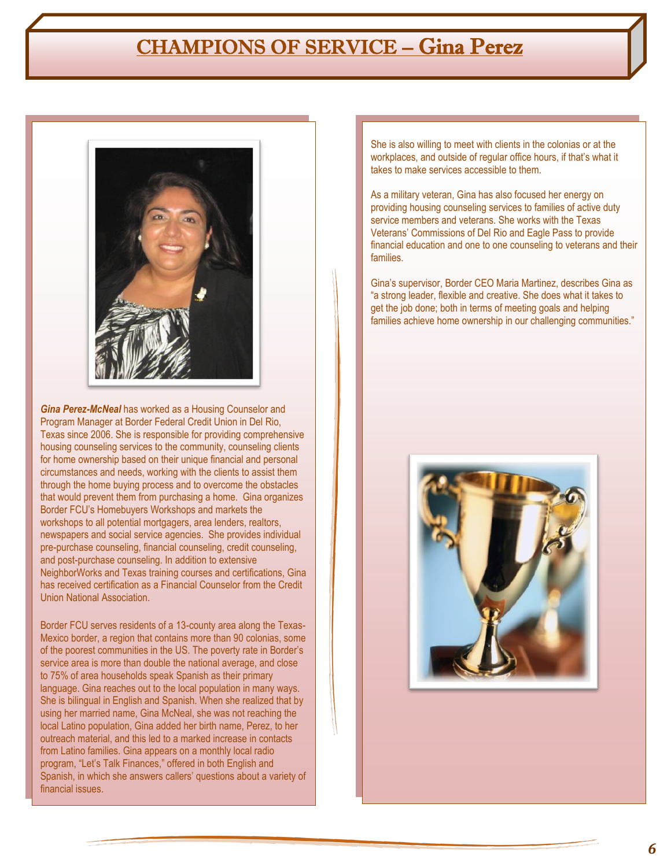### CHAMPIONS OF SERVICE – Gina Perez



*Gina Perez-McNeal* has worked as a Housing Counselor and Program Manager at Border Federal Credit Union in Del Rio, Texas since 2006. She is responsible for providing comprehensive housing counseling services to the community, counseling clients for home ownership based on their unique financial and personal circumstances and needs, working with the clients to assist them through the home buying process and to overcome the obstacles that would prevent them from purchasing a home. Gina organizes Border FCU"s Homebuyers Workshops and markets the workshops to all potential mortgagers, area lenders, realtors, newspapers and social service agencies. She provides individual pre-purchase counseling, financial counseling, credit counseling, and post-purchase counseling. In addition to extensive NeighborWorks and Texas training courses and certifications, Gina has received certification as a Financial Counselor from the Credit Union National Association.

Border FCU serves residents of a 13-county area along the Texas-Mexico border, a region that contains more than 90 colonias, some of the poorest communities in the US. The poverty rate in Border"s service area is more than double the national average, and close to 75% of area households speak Spanish as their primary language. Gina reaches out to the local population in many ways. She is bilingual in English and Spanish. When she realized that by using her married name, Gina McNeal, she was not reaching the local Latino population, Gina added her birth name, Perez, to her outreach material, and this led to a marked increase in contacts from Latino families. Gina appears on a monthly local radio program, "Let"s Talk Finances," offered in both English and Spanish, in which she answers callers' questions about a variety of financial issues.

She is also willing to meet with clients in the colonias or at the workplaces, and outside of regular office hours, if that's what it takes to make services accessible to them.

As a military veteran, Gina has also focused her energy on providing housing counseling services to families of active duty service members and veterans. She works with the Texas Veterans" Commissions of Del Rio and Eagle Pass to provide financial education and one to one counseling to veterans and their families.

Gina"s supervisor, Border CEO Maria Martinez, describes Gina as "a strong leader, flexible and creative. She does what it takes to get the job done; both in terms of meeting goals and helping families achieve home ownership in our challenging communities."